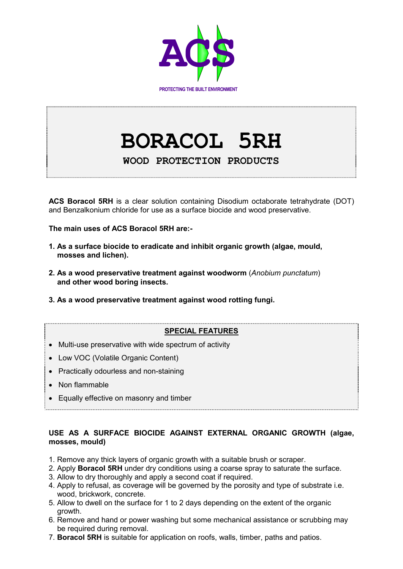

# **BORACOL 5RH**

**WOOD PROTECTION PRODUCTS** 

**ACS Boracol 5RH** is a clear solution containing Disodium octaborate tetrahydrate (DOT) and Benzalkonium chloride for use as a surface biocide and wood preservative.

**The main uses of ACS Boracol 5RH are:-** 

- **1. As a surface biocide to eradicate and inhibit organic growth (algae, mould, mosses and lichen).**
- **2. As a wood preservative treatment against woodworm** (*Anobium punctatum*) **and other wood boring insects.**
- **3. As a wood preservative treatment against wood rotting fungi.**

# **SPECIAL FEATURES**

- Multi-use preservative with wide spectrum of activity
- Low VOC (Volatile Organic Content)
- Practically odourless and non-staining
- Non flammable
- Equally effective on masonry and timber

## **USE AS A SURFACE BIOCIDE AGAINST EXTERNAL ORGANIC GROWTH (algae, mosses, mould)**

- 1. Remove any thick layers of organic growth with a suitable brush or scraper.
- 2. Apply **Boracol 5RH** under dry conditions using a coarse spray to saturate the surface.
- 3. Allow to dry thoroughly and apply a second coat if required.
- 4. Apply to refusal, as coverage will be governed by the porosity and type of substrate i.e. wood, brickwork, concrete.
- 5. Allow to dwell on the surface for 1 to 2 days depending on the extent of the organic growth.
- 6. Remove and hand or power washing but some mechanical assistance or scrubbing may be required during removal.
- 7. **Boracol 5RH** is suitable for application on roofs, walls, timber, paths and patios.